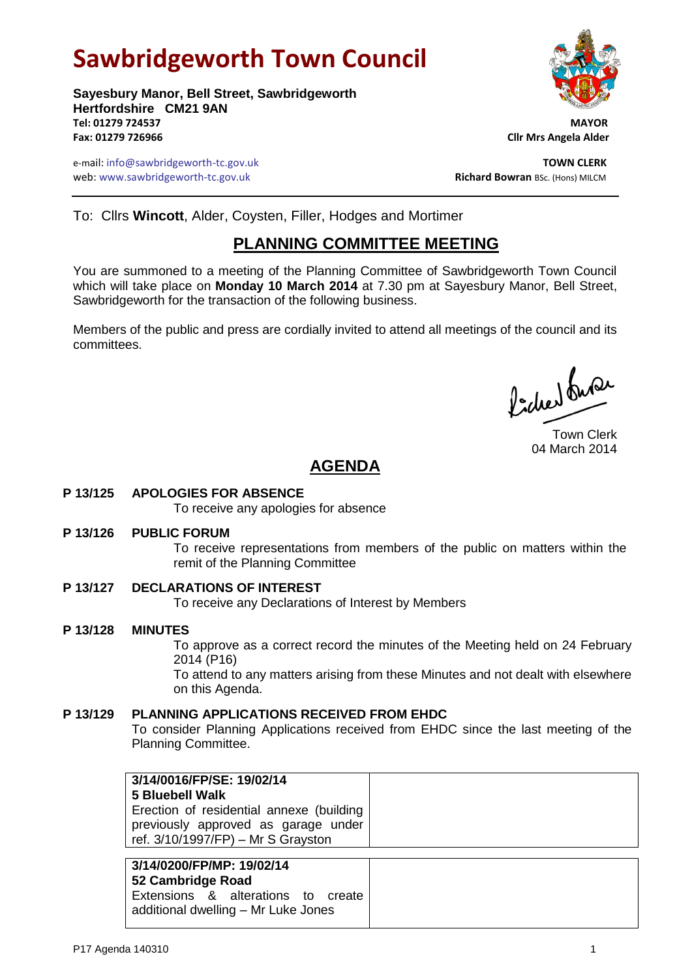# **Sawbridgeworth Town Council**

**Sayesbury Manor, Bell Street, Sawbridgeworth Hertfordshire CM21 9AN Tel: 01279 724537 MAYOR Fax: 01279 726966 Cllr Mrs Angela Alder**

e-mail: info@sawbridgeworth-tc.gov.uk **TOWN CLERK** web: www.sawbridgeworth-tc.gov.uk<br> **Richard Bowran** BSc. (Hons) MILCM

To: Cllrs **Wincott**, Alder, Coysten, Filler, Hodges and Mortimer

## **PLANNING COMMITTEE MEETING**

You are summoned to a meeting of the Planning Committee of Sawbridgeworth Town Council which will take place on **Monday 10 March 2014** at 7.30 pm at Sayesbury Manor, Bell Street, Sawbridgeworth for the transaction of the following business.

Members of the public and press are cordially invited to attend all meetings of the council and its committees.

ladres buse

Town Clerk 04 March 2014

## **AGENDA**

**P 13/125 APOLOGIES FOR ABSENCE**

To receive any apologies for absence

**P 13/126 PUBLIC FORUM**

To receive representations from members of the public on matters within the remit of the Planning Committee

- **P 13/127 DECLARATIONS OF INTEREST** To receive any Declarations of Interest by Members
- **P 13/128 MINUTES** To approve as a correct record the minutes of the Meeting held on 24 February 2014 (P16) To attend to any matters arising from these Minutes and not dealt with elsewhere on this Agenda.
- **P 13/129 PLANNING APPLICATIONS RECEIVED FROM EHDC** To consider Planning Applications received from EHDC since the last meeting of the Planning Committee.

| 3/14/0016/FP/SE: 19/02/14<br>5 Bluebell Walk<br>Erection of residential annexe (building<br>previously approved as garage under<br>ref. $3/10/1997$ /FP) – Mr S Grayston |
|--------------------------------------------------------------------------------------------------------------------------------------------------------------------------|
|--------------------------------------------------------------------------------------------------------------------------------------------------------------------------|

**3/14/0200/FP/MP: 19/02/14 52 Cambridge Road** Extensions & alterations to create additional dwelling – Mr Luke Jones